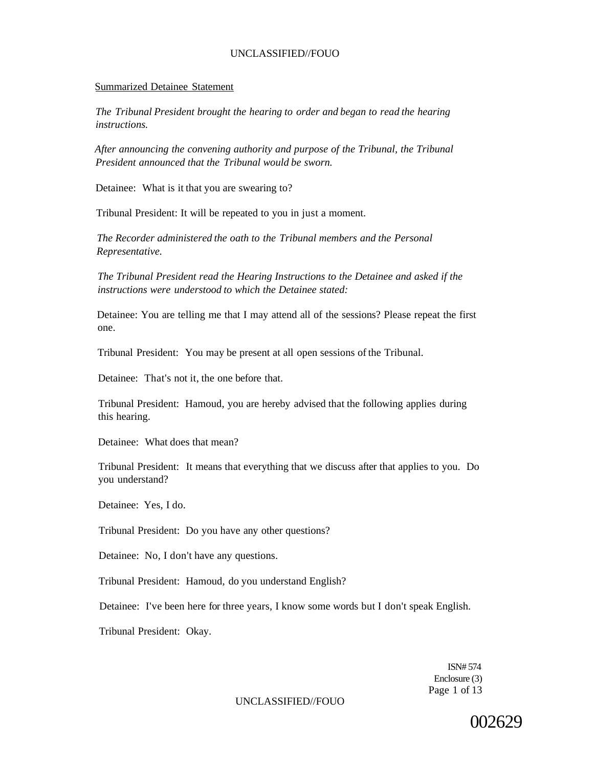#### Summarized Detainee Statement

*The Tribunal President brought the hearing to order and began to read the hearing instructions.* 

*After announcing the convening authority and purpose of the Tribunal, the Tribunal President announced that the Tribunal would be sworn.* 

Detainee: What is it that you are swearing to?

Tribunal President: It will be repeated to you in just a moment.

*The Recorder administered the oath to the Tribunal members and the Personal Representative.* 

*The Tribunal President read the Hearing Instructions to the Detainee and asked if the instructions were understood to which the Detainee stated:* 

Detainee: You are telling me that I may attend all of the sessions? Please repeat the first one.

Tribunal President: You may be present at all open sessions of the Tribunal.

Detainee: That's not it, the one before that.

Tribunal President: Hamoud, you are hereby advised that the following applies during this hearing.

Detainee: What does that mean?

Tribunal President: It means that everything that we discuss after that applies to you. Do you understand?

Detainee: Yes, I do.

Tribunal President: Do you have any other questions?

Detainee: No, I don't have any questions.

Tribunal President: Hamoud, do you understand English?

Detainee: I've been here for three years, I know some words but I don't speak English.

Tribunal President: Okay.

ISN# 574 Enclosure (3) Page 1 of 13

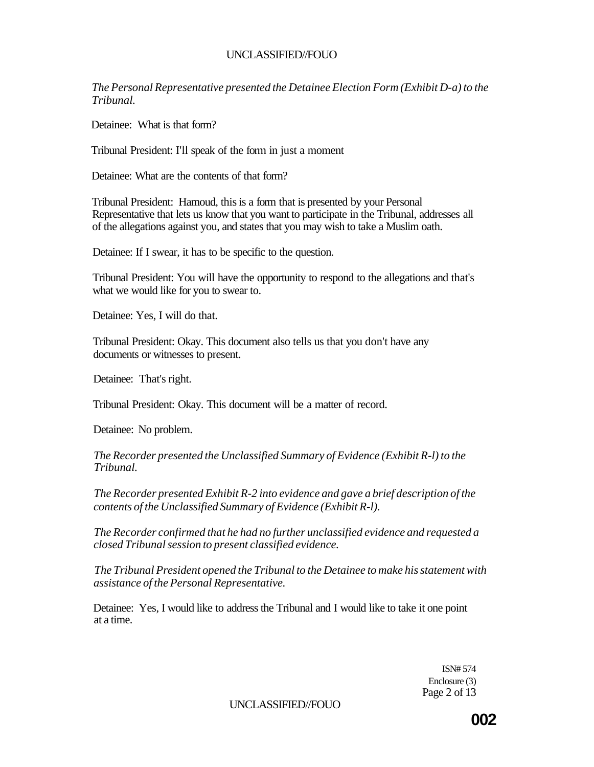*The Personal Representative presented the Detainee Election Form (Exhibit D-a) to the Tribunal.* 

Detainee: What is that form?

Tribunal President: I'll speak of the form in just a moment

Detainee: What are the contents of that form?

Tribunal President: Hamoud, this is a form that is presented by your Personal Representative that lets us know that you want to participate in the Tribunal, addresses all of the allegations against you, and states that you may wish to take a Muslim oath.

Detainee: If I swear, it has to be specific to the question.

Tribunal President: You will have the opportunity to respond to the allegations and that's what we would like for you to swear to.

Detainee: Yes, I will do that.

Tribunal President: Okay. This document also tells us that you don't have any documents or witnesses to present.

Detainee: That's right.

Tribunal President: Okay. This document will be a matter of record.

Detainee: No problem.

*The Recorder presented the Unclassified Summary of Evidence (Exhibit R-l) to the Tribunal.* 

*The Recorder presented Exhibit R-2 into evidence and gave a brief description of the contents of the Unclassified Summary of Evidence (Exhibit R-l).* 

*The Recorder confirmed that he had no further unclassified evidence and requested a closed Tribunal session to present classified evidence.* 

*The Tribunal President opened the Tribunal to the Detainee to make his statement with assistance of the Personal Representative.* 

Detainee: Yes, I would like to address the Tribunal and I would like to take it one point at a time.

> ISN# 574 Enclosure (3) Page 2 of 13

UNCLASSIFIED//FOUO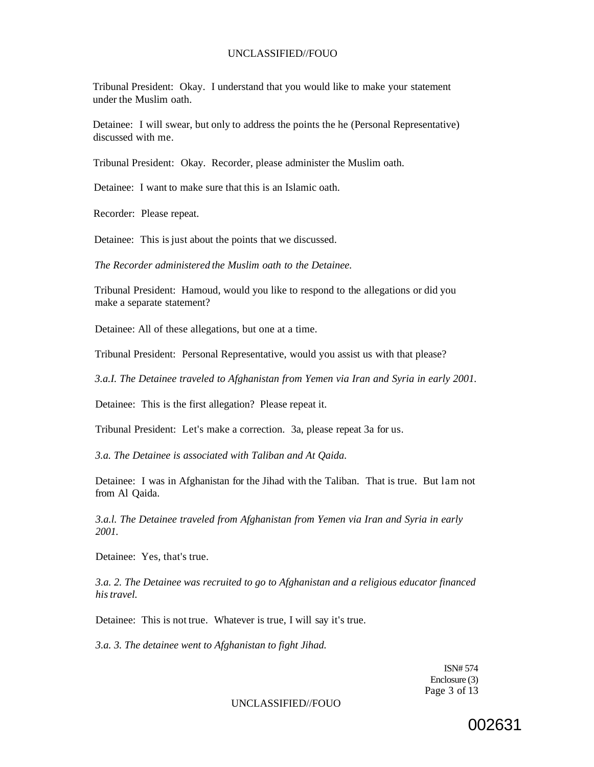Tribunal President: Okay. I understand that you would like to make your statement under the Muslim oath.

Detainee: I will swear, but only to address the points the he (Personal Representative) discussed with me.

Tribunal President: Okay. Recorder, please administer the Muslim oath.

Detainee: I want to make sure that this is an Islamic oath.

Recorder: Please repeat.

Detainee: This is just about the points that we discussed.

*The Recorder administered the Muslim oath to the Detainee.* 

Tribunal President: Hamoud, would you like to respond to the allegations or did you make a separate statement?

Detainee: All of these allegations, but one at a time.

Tribunal President: Personal Representative, would you assist us with that please?

*3.a.I. The Detainee traveled to Afghanistan from Yemen via Iran and Syria in early 2001.* 

Detainee: This is the first allegation? Please repeat it.

Tribunal President: Let's make a correction. 3a, please repeat 3a for us.

*3.a. The Detainee is associated with Taliban and At Qaida.* 

Detainee: I was in Afghanistan for the Jihad with the Taliban. That is true. But lam not from Al Qaida.

*3.a.l. The Detainee traveled from Afghanistan from Yemen via Iran and Syria in early 2001.* 

Detainee: Yes, that's true.

*3.a. 2. The Detainee was recruited to go to Afghanistan and a religious educator financed his travel.* 

Detainee: This is not true. Whatever is true, I will say it's true.

*3.a. 3. The detainee went to Afghanistan to fight Jihad.* 

ISN# 574 Enclosure (3) Page 3 of 13

UNCLASSIFIED//FOUO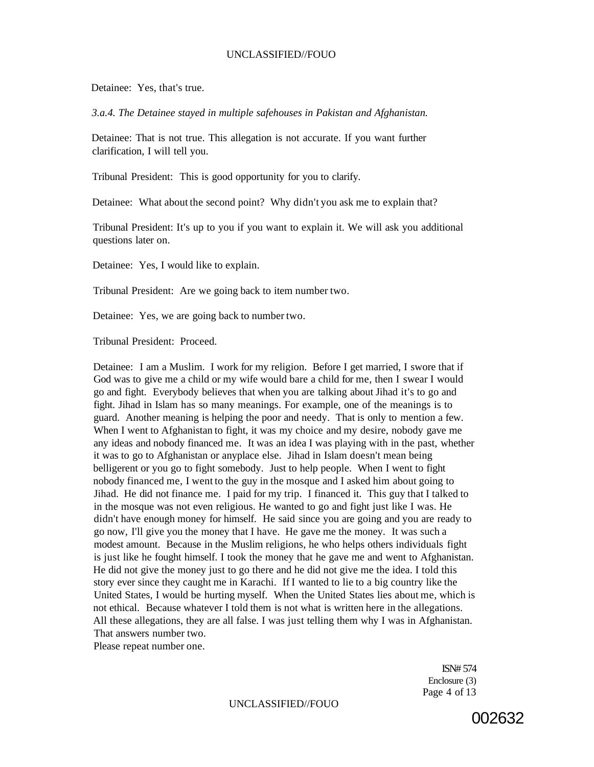Detainee: Yes, that's true.

*3.a.4. The Detainee stayed in multiple safehouses in Pakistan and Afghanistan.* 

Detainee: That is not true. This allegation is not accurate. If you want further clarification, I will tell you.

Tribunal President: This is good opportunity for you to clarify.

Detainee: What about the second point? Why didn't you ask me to explain that?

Tribunal President: It's up to you if you want to explain it. We will ask you additional questions later on.

Detainee: Yes, I would like to explain.

Tribunal President: Are we going back to item number two.

Detainee: Yes, we are going back to number two.

Tribunal President: Proceed.

Detainee: I am a Muslim. I work for my religion. Before I get married, I swore that if God was to give me a child or my wife would bare a child for me, then I swear I would go and fight. Everybody believes that when you are talking about Jihad it's to go and fight. Jihad in Islam has so many meanings. For example, one of the meanings is to guard. Another meaning is helping the poor and needy. That is only to mention a few. When I went to Afghanistan to fight, it was my choice and my desire, nobody gave me any ideas and nobody financed me. It was an idea I was playing with in the past, whether it was to go to Afghanistan or anyplace else. Jihad in Islam doesn't mean being belligerent or you go to fight somebody. Just to help people. When I went to fight nobody financed me, I went to the guy in the mosque and I asked him about going to Jihad. He did not finance me. I paid for my trip. I financed it. This guy that I talked to in the mosque was not even religious. He wanted to go and fight just like I was. He didn't have enough money for himself. He said since you are going and you are ready to go now, I'll give you the money that I have. He gave me the money. It was such a modest amount. Because in the Muslim religions, he who helps others individuals fight is just like he fought himself. I took the money that he gave me and went to Afghanistan. He did not give the money just to go there and he did not give me the idea. I told this story ever since they caught me in Karachi. If I wanted to lie to a big country like the United States, I would be hurting myself. When the United States lies about me, which is not ethical. Because whatever I told them is not what is written here in the allegations. All these allegations, they are all false. I was just telling them why I was in Afghanistan. That answers number two.

Please repeat number one.

ISN# 574 Enclosure (3) Page 4 of 13

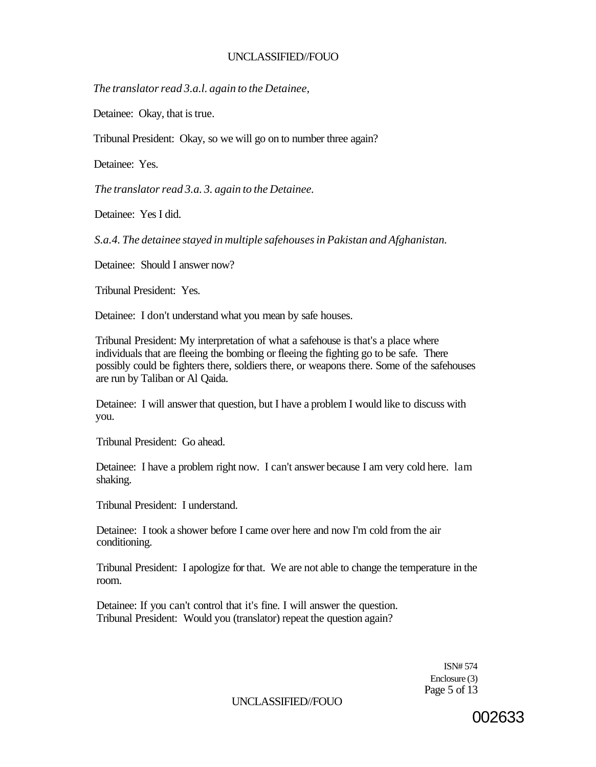*The translator read 3.a.l. again to the Detainee,* 

Detainee: Okay, that is true.

Tribunal President: Okay, so we will go on to number three again?

Detainee: Yes.

*The translator read 3.a. 3. again to the Detainee.* 

Detainee: Yes I did.

*S.a.4. The detainee stayed in multiple safehouses in Pakistan and Afghanistan.* 

Detainee: Should I answer now?

Tribunal President: Yes.

Detainee: I don't understand what you mean by safe houses.

Tribunal President: My interpretation of what a safehouse is that's a place where individuals that are fleeing the bombing or fleeing the fighting go to be safe. There possibly could be fighters there, soldiers there, or weapons there. Some of the safehouses are run by Taliban or Al Qaida.

Detainee: I will answer that question, but I have a problem I would like to discuss with you.

Tribunal President: Go ahead.

Detainee: I have a problem right now. I can't answer because I am very cold here. lam shaking.

Tribunal President: I understand.

Detainee: I took a shower before I came over here and now I'm cold from the air conditioning.

Tribunal President: I apologize for that. We are not able to change the temperature in the room.

Detainee: If you can't control that it's fine. I will answer the question. Tribunal President: Would you (translator) repeat the question again?

> ISN# 574 Enclosure (3) Page 5 of 13

UNCLASSIFIED//FOUO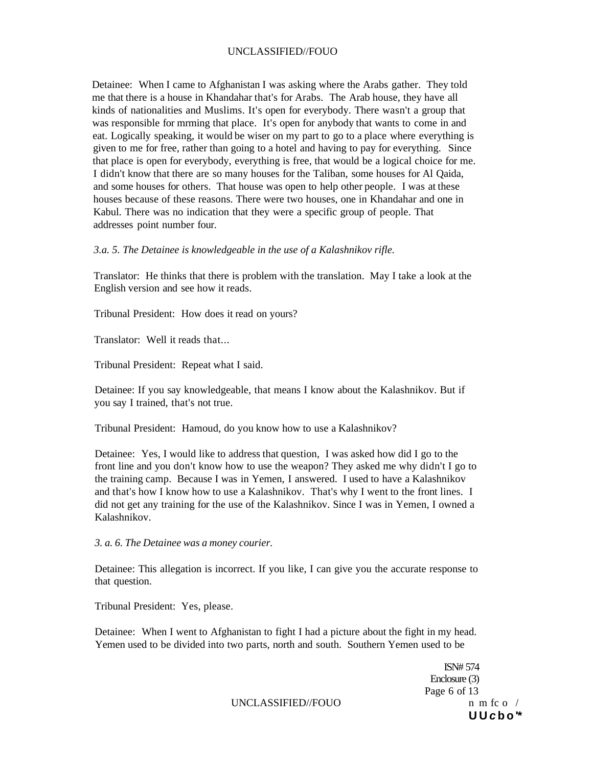Detainee: When I came to Afghanistan I was asking where the Arabs gather. They told me that there is a house in Khandahar that's for Arabs. The Arab house, they have all kinds of nationalities and Muslims. It's open for everybody. There wasn't a group that was responsible for mrming that place. It's open for anybody that wants to come in and eat. Logically speaking, it would be wiser on my part to go to a place where everything is given to me for free, rather than going to a hotel and having to pay for everything. Since that place is open for everybody, everything is free, that would be a logical choice for me. I didn't know that there are so many houses for the Taliban, some houses for Al Qaida, and some houses for others. That house was open to help other people. I was at these houses because of these reasons. There were two houses, one in Khandahar and one in Kabul. There was no indication that they were a specific group of people. That addresses point number four.

### *3.a. 5. The Detainee is knowledgeable in the use of a Kalashnikov rifle.*

Translator: He thinks that there is problem with the translation. May I take a look at the English version and see how it reads.

Tribunal President: How does it read on yours?

Translator: Well it reads that...

Tribunal President: Repeat what I said.

Detainee: If you say knowledgeable, that means I know about the Kalashnikov. But if you say I trained, that's not true.

Tribunal President: Hamoud, do you know how to use a Kalashnikov?

Detainee: Yes, I would like to address that question, I was asked how did I go to the front line and you don't know how to use the weapon? They asked me why didn't I go to the training camp. Because I was in Yemen, I answered. I used to have a Kalashnikov and that's how I know how to use a Kalashnikov. That's why I went to the front lines. I did not get any training for the use of the Kalashnikov. Since I was in Yemen, I owned a Kalashnikov.

*3. a. 6. The Detainee was a money courier.* 

Detainee: This allegation is incorrect. If you like, I can give you the accurate response to that question.

Tribunal President: Yes, please.

Detainee: When I went to Afghanistan to fight I had a picture about the fight in my head. Yemen used to be divided into two parts, north and south. Southern Yemen used to be

> ISN# 574 Enclosure (3) Page 6 of 13 **U U c b o '\***

UNCLASSIFIED//FOUO n m fc o /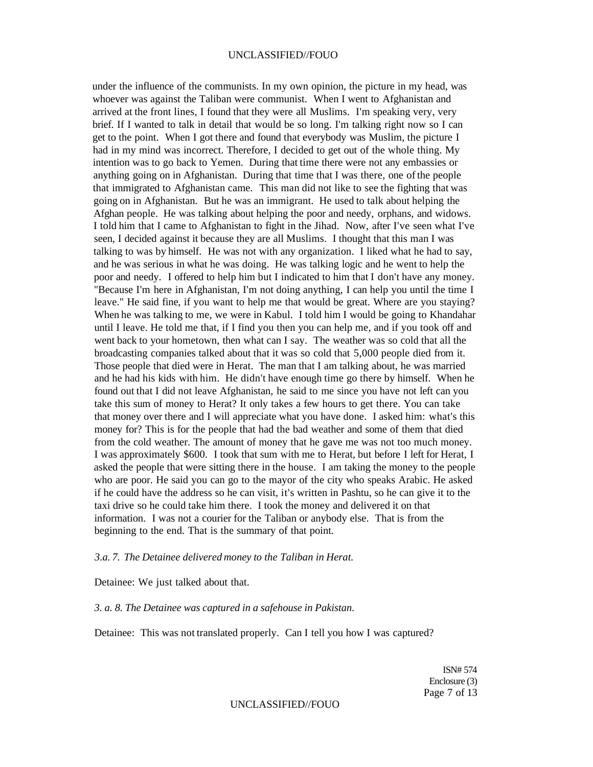under the influence of the communists. In my own opinion, the picture in my head, was whoever was against the Taliban were communist. When I went to Afghanistan and arrived at the front lines, I found that they were all Muslims. I'm speaking very, very brief. If I wanted to talk in detail that would be so long. I'm talking right now so I can get to the point. When I got there and found that everybody was Muslim, the picture I had in my mind was incorrect. Therefore, I decided to get out of the whole thing. My intention was to go back to Yemen. During that time there were not any embassies or anything going on in Afghanistan. During that time that I was there, one of the people that immigrated to Afghanistan came. This man did not like to see the fighting that was going on in Afghanistan. But he was an immigrant. He used to talk about helping the Afghan people. He was talking about helping the poor and needy, orphans, and widows. I told him that I came to Afghanistan to fight in the Jihad. Now, after I've seen what I've seen, I decided against it because they are all Muslims. I thought that this man I was talking to was by himself. He was not with any organization. I liked what he had to say, and he was serious in what he was doing. He was talking logic and he went to help the poor and needy. I offered to help him but I indicated to him that I don't have any money. "Because I'm here in Afghanistan, I'm not doing anything, I can help you until the time I leave." He said fine, if you want to help me that would be great. Where are you staying? When he was talking to me, we were in Kabul. I told him I would be going to Khandahar until I leave. He told me that, if I find you then you can help me, and if you took off and went back to your hometown, then what can I say. The weather was so cold that all the broadcasting companies talked about that it was so cold that 5,000 people died from it. Those people that died were in Herat. The man that I am talking about, he was married and he had his kids with him. He didn't have enough time go there by himself. When he found out that I did not leave Afghanistan, he said to me since you have not left can you take this sum of money to Herat? It only takes a few hours to get there. You can take that money over there and I will appreciate what you have done. I asked him: what's this money for? This is for the people that had the bad weather and some of them that died from the cold weather. The amount of money that he gave me was not too much money. I was approximately \$600. I took that sum with me to Herat, but before I left for Herat, I asked the people that were sitting there in the house. I am taking the money to the people who are poor. He said you can go to the mayor of the city who speaks Arabic. He asked if he could have the address so he can visit, it's written in Pashtu, so he can give it to the taxi drive so he could take him there. I took the money and delivered it on that information. I was not a courier for the Taliban or anybody else. That is from the beginning to the end. That is the summary of that point.

#### *3.a. 7. The Detainee delivered money to the Taliban in Herat.*

Detainee: We just talked about that.

### *3. a. 8. The Detainee was captured in a safehouse in Pakistan.*

Detainee: This was not translated properly. Can I tell you how I was captured?

ISN# 574 Enclosure (3) Page 7 of 13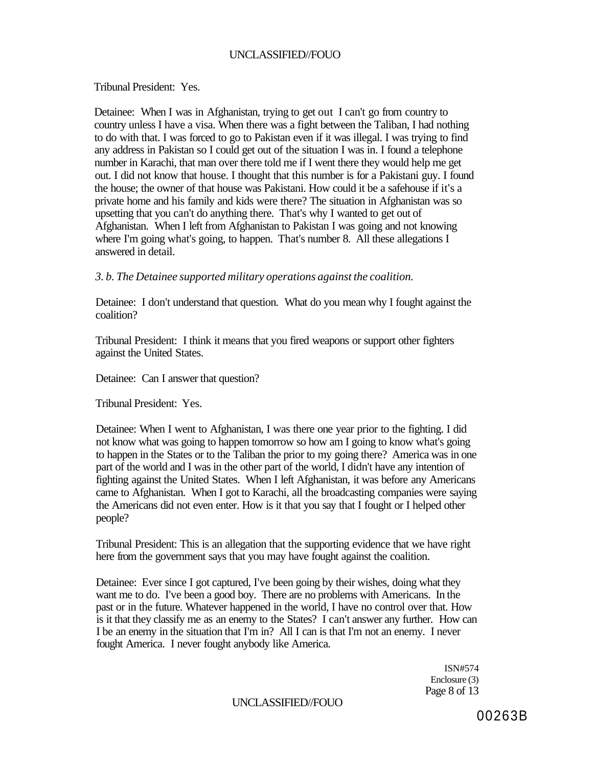### Tribunal President: Yes.

Detainee: When I was in Afghanistan, trying to get out I can't go from country to country unless I have a visa. When there was a fight between the Taliban, I had nothing to do with that. I was forced to go to Pakistan even if it was illegal. I was trying to find any address in Pakistan so I could get out of the situation I was in. I found a telephone number in Karachi, that man over there told me if I went there they would help me get out. I did not know that house. I thought that this number is for a Pakistani guy. I found the house; the owner of that house was Pakistani. How could it be a safehouse if it's a private home and his family and kids were there? The situation in Afghanistan was so upsetting that you can't do anything there. That's why I wanted to get out of Afghanistan. When I left from Afghanistan to Pakistan I was going and not knowing where I'm going what's going, to happen. That's number 8. All these allegations I answered in detail.

*3. b. The Detainee supported military operations against the coalition.* 

Detainee: I don't understand that question. What do you mean why I fought against the coalition?

Tribunal President: I think it means that you fired weapons or support other fighters against the United States.

Detainee: Can I answer that question?

Tribunal President: Yes.

Detainee: When I went to Afghanistan, I was there one year prior to the fighting. I did not know what was going to happen tomorrow so how am I going to know what's going to happen in the States or to the Taliban the prior to my going there? America was in one part of the world and I was in the other part of the world, I didn't have any intention of fighting against the United States. When I left Afghanistan, it was before any Americans came to Afghanistan. When I got to Karachi, all the broadcasting companies were saying the Americans did not even enter. How is it that you say that I fought or I helped other people?

Tribunal President: This is an allegation that the supporting evidence that we have right here from the government says that you may have fought against the coalition.

Detainee: Ever since I got captured, I've been going by their wishes, doing what they want me to do. I've been a good boy. There are no problems with Americans. In the past or in the future. Whatever happened in the world, I have no control over that. How is it that they classify me as an enemy to the States? I can't answer any further. How can I be an enemy in the situation that I'm in? All I can is that I'm not an enemy. I never fought America. I never fought anybody like America.

> ISN#574 Enclosure (3) Page 8 of 13

### UNCLASSIFIED//FOUO

00263B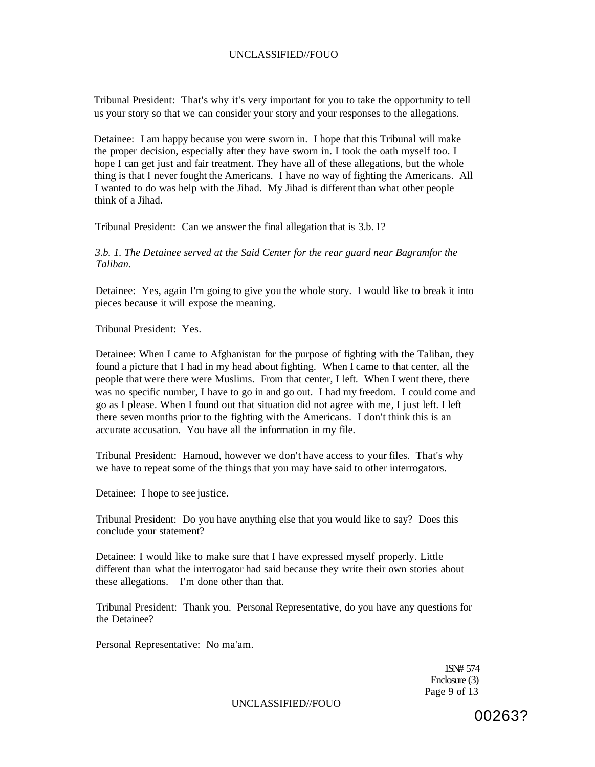Tribunal President: That's why it's very important for you to take the opportunity to tell us your story so that we can consider your story and your responses to the allegations.

Detainee: I am happy because you were sworn in. I hope that this Tribunal will make the proper decision, especially after they have sworn in. I took the oath myself too. I hope I can get just and fair treatment. They have all of these allegations, but the whole thing is that I never fought the Americans. I have no way of fighting the Americans. All I wanted to do was help with the Jihad. My Jihad is different than what other people think of a Jihad.

Tribunal President: Can we answer the final allegation that is 3.b. 1?

*3.b. 1. The Detainee served at the Said Center for the rear guard near Bagramfor the Taliban.* 

Detainee: Yes, again I'm going to give you the whole story. I would like to break it into pieces because it will expose the meaning.

Tribunal President: Yes.

Detainee: When I came to Afghanistan for the purpose of fighting with the Taliban, they found a picture that I had in my head about fighting. When I came to that center, all the people that were there were Muslims. From that center, I left. When I went there, there was no specific number, I have to go in and go out. I had my freedom. I could come and go as I please. When I found out that situation did not agree with me, I just left. I left there seven months prior to the fighting with the Americans. I don't think this is an accurate accusation. You have all the information in my file.

Tribunal President: Hamoud, however we don't have access to your files. That's why we have to repeat some of the things that you may have said to other interrogators.

Detainee: I hope to see justice.

Tribunal President: Do you have anything else that you would like to say? Does this conclude your statement?

Detainee: I would like to make sure that I have expressed myself properly. Little different than what the interrogator had said because they write their own stories about these allegations. I'm done other than that.

Tribunal President: Thank you. Personal Representative, do you have any questions for the Detainee?

Personal Representative: No ma'am.

1SN# 574 Enclosure (3) Page 9 of 13

UNCLASSIFIED//FOUO

00263?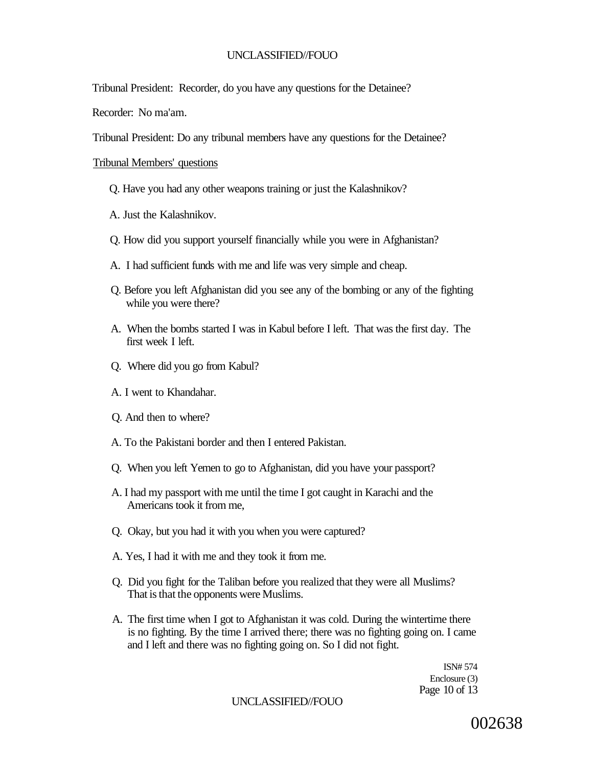Tribunal President: Recorder, do you have any questions for the Detainee?

Recorder: No ma'am.

Tribunal President: Do any tribunal members have any questions for the Detainee?

## Tribunal Members' questions

- Q. Have you had any other weapons training or just the Kalashnikov?
- A. Just the Kalashnikov.
- Q. How did you support yourself financially while you were in Afghanistan?
- A. I had sufficient funds with me and life was very simple and cheap.
- Q. Before you left Afghanistan did you see any of the bombing or any of the fighting while you were there?
- A. When the bombs started I was in Kabul before I left. That was the first day. The first week I left.
- Q. Where did you go from Kabul?
- A. I went to Khandahar.
- Q. And then to where?
- A. To the Pakistani border and then I entered Pakistan.
- Q. When you left Yemen to go to Afghanistan, did you have your passport?
- A. I had my passport with me until the time I got caught in Karachi and the Americans took it from me,
- Q. Okay, but you had it with you when you were captured?
- A. Yes, I had it with me and they took it from me.
- Q. Did you fight for the Taliban before you realized that they were all Muslims? That is that the opponents were Muslims.
- A. The first time when I got to Afghanistan it was cold. During the wintertime there is no fighting. By the time I arrived there; there was no fighting going on. I came and I left and there was no fighting going on. So I did not fight.

ISN# 574 Enclosure (3) Page 10 of 13

UNCLASSIFIED//FOUO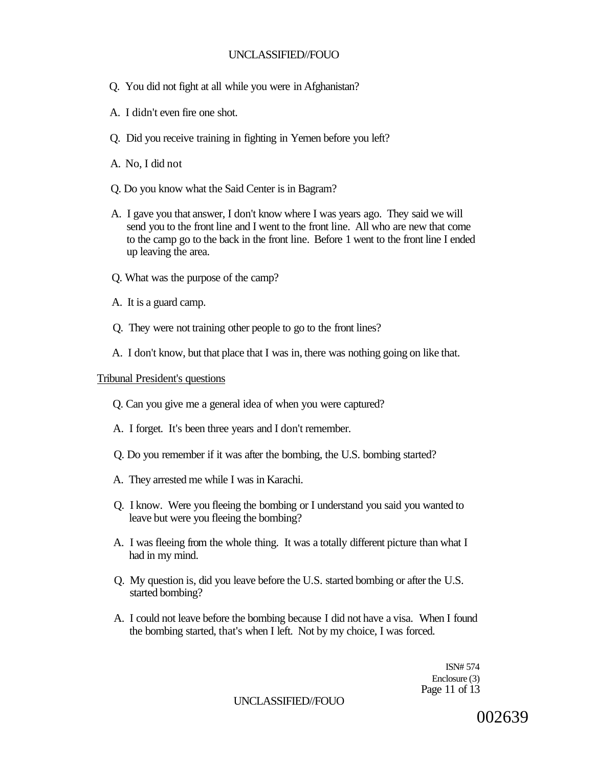- Q. You did not fight at all while you were in Afghanistan?
- A. I didn't even fire one shot.
- Q. Did you receive training in fighting in Yemen before you left?
- A. No, I did not
- Q. Do you know what the Said Center is in Bagram?
- A. I gave you that answer, I don't know where I was years ago. They said we will send you to the front line and I went to the front line. All who are new that come to the camp go to the back in the front line. Before 1 went to the front line I ended up leaving the area.
- Q. What was the purpose of the camp?
- A. It is a guard camp.
- Q. They were not training other people to go to the front lines?
- A. I don't know, but that place that I was in, there was nothing going on like that.

### Tribunal President's questions

- Q. Can you give me a general idea of when you were captured?
- A. I forget. It's been three years and I don't remember.
- Q. Do you remember if it was after the bombing, the U.S. bombing started?
- A. They arrested me while I was in Karachi.
- Q. I know. Were you fleeing the bombing or I understand you said you wanted to leave but were you fleeing the bombing?
- A. I was fleeing from the whole thing. It was a totally different picture than what I had in my mind.
- Q. My question is, did you leave before the U.S. started bombing or after the U.S. started bombing?
- A. I could not leave before the bombing because I did not have a visa. When I found the bombing started, that's when I left. Not by my choice, I was forced.

ISN# 574 Enclosure (3) Page 11 of 13

UNCLASSIFIED//FOUO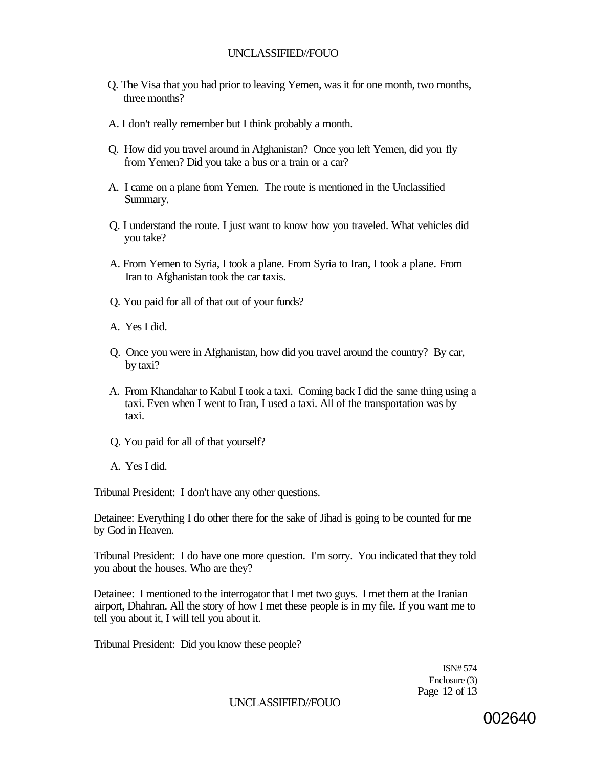- Q. The Visa that you had prior to leaving Yemen, was it for one month, two months, three months?
- A. I don't really remember but I think probably a month.
- Q. How did you travel around in Afghanistan? Once you left Yemen, did you fly from Yemen? Did you take a bus or a train or a car?
- A. I came on a plane from Yemen. The route is mentioned in the Unclassified Summary.
- Q. I understand the route. I just want to know how you traveled. What vehicles did you take?
- A. From Yemen to Syria, I took a plane. From Syria to Iran, I took a plane. From Iran to Afghanistan took the car taxis.
- Q. You paid for all of that out of your funds?
- A. Yes I did.
- Q. Once you were in Afghanistan, how did you travel around the country? By car, by taxi?
- A. From Khandahar to Kabul I took a taxi. Coming back I did the same thing using a taxi. Even when I went to Iran, I used a taxi. All of the transportation was by taxi.
- Q. You paid for all of that yourself?
- A. Yes I did.

Tribunal President: I don't have any other questions.

Detainee: Everything I do other there for the sake of Jihad is going to be counted for me by God in Heaven.

Tribunal President: I do have one more question. I'm sorry. You indicated that they told you about the houses. Who are they?

Detainee: I mentioned to the interrogator that I met two guys. I met them at the Iranian airport, Dhahran. All the story of how I met these people is in my file. If you want me to tell you about it, I will tell you about it.

Tribunal President: Did you know these people?

ISN# 574 Enclosure (3) Page 12 of 13

UNCLASSIFIED//FOUO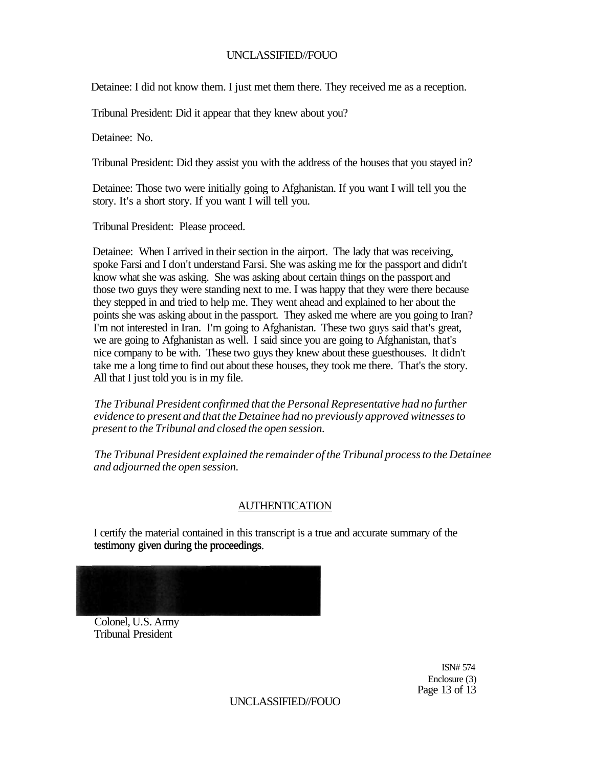Detainee: I did not know them. I just met them there. They received me as a reception.

Tribunal President: Did it appear that they knew about you?

Detainee: No.

Tribunal President: Did they assist you with the address of the houses that you stayed in?

Detainee: Those two were initially going to Afghanistan. If you want I will tell you the story. It's a short story. If you want I will tell you.

Tribunal President: Please proceed.

Detainee: When I arrived in their section in the airport. The lady that was receiving, spoke Farsi and I don't understand Farsi. She was asking me for the passport and didn't know what she was asking. She was asking about certain things on the passport and those two guys they were standing next to me. I was happy that they were there because they stepped in and tried to help me. They went ahead and explained to her about the points she was asking about in the passport. They asked me where are you going to Iran? I'm not interested in Iran. I'm going to Afghanistan. These two guys said that's great, we are going to Afghanistan as well. I said since you are going to Afghanistan, that's nice company to be with. These two guys they knew about these guesthouses. It didn't take me a long time to find out about these houses, they took me there. That's the story. All that I just told you is in my file.

*The Tribunal President confirmed that the Personal Representative had no further evidence to present and that the Detainee had no previously approved witnesses to present to the Tribunal and closed the open session.* 

*The Tribunal President explained the remainder of the Tribunal process to the Detainee and adjourned the open session.* 

## AUTHENTICATION

I certify the material contained in this transcript is a true and accurate summary of the testimony given during the proceedings.

Colonel, U.S. Army Tribunal President

> ISN# 574 Enclosure (3) Page 13 of 13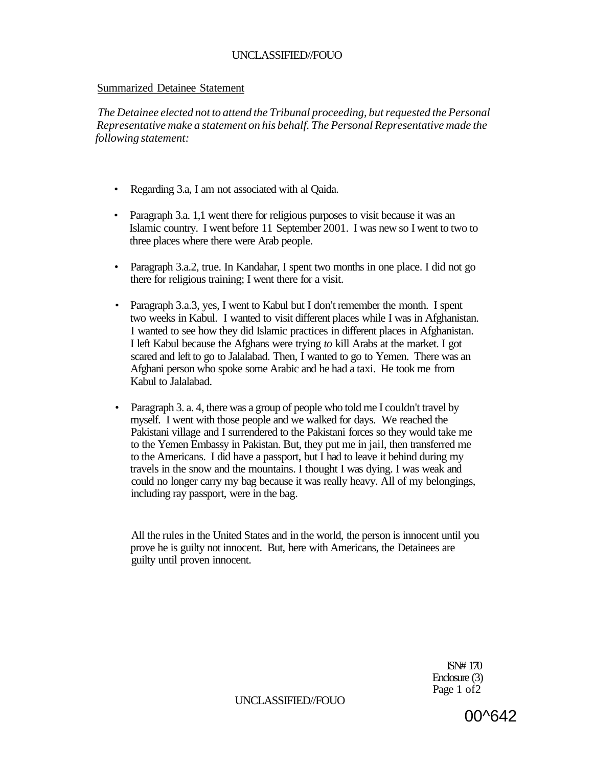### Summarized Detainee Statement

*The Detainee elected not to attend the Tribunal proceeding, but requested the Personal Representative make a statement on his behalf. The Personal Representative made the following statement:* 

- *•* Regarding 3.a, I am not associated with al Qaida.
- Paragraph 3.a. 1,1 went there for religious purposes to visit because it was an Islamic country. I went before 11 September 2001. I was new so I went to two to three places where there were Arab people.
- Paragraph 3.a.2, true. In Kandahar, I spent two months in one place. I did not go there for religious training; I went there for a visit.
- Paragraph 3.a.3, yes, I went to Kabul but I don't remember the month. I spent two weeks in Kabul. I wanted to visit different places while I was in Afghanistan. I wanted to see how they did Islamic practices in different places in Afghanistan. I left Kabul because the Afghans were trying *to* kill Arabs at the market. I got scared and left to go to Jalalabad. Then, I wanted to go to Yemen. There was an Afghani person who spoke some Arabic and he had a taxi. He took me from Kabul to Jalalabad.
- Paragraph 3. a. 4, there was a group of people who told me I couldn't travel by myself. I went with those people and we walked for days. We reached the Pakistani village and I surrendered to the Pakistani forces so they would take me to the Yemen Embassy in Pakistan. But, they put me in jail, then transferred me to the Americans. I did have a passport, but I had to leave it behind during my travels in the snow and the mountains. I thought I was dying. I was weak and could no longer carry my bag because it was really heavy. All of my belongings, including ray passport, were in the bag.

All the rules in the United States and in the world, the person is innocent until you prove he is guilty not innocent. But, here with Americans, the Detainees are guilty until proven innocent.

> ISN# 170 Enclosure (3) Page 1 of 2

UNCLASSIFIED//FOUO

00^642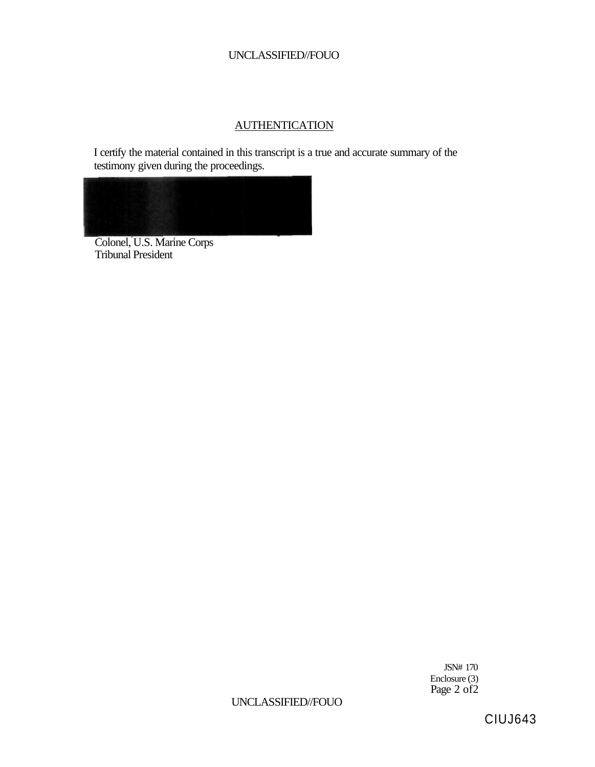# **AUTHENTICATION**

I certify the material contained in this transcript is a true and accurate summary of the testimony given during the proceedings.



Colonel, U.S. Marine Corps Tribunal President

> JSN# 170 Enclosure (3) Page 2 of 2

# UNCLASSIFIED//FOUO

CIUJ643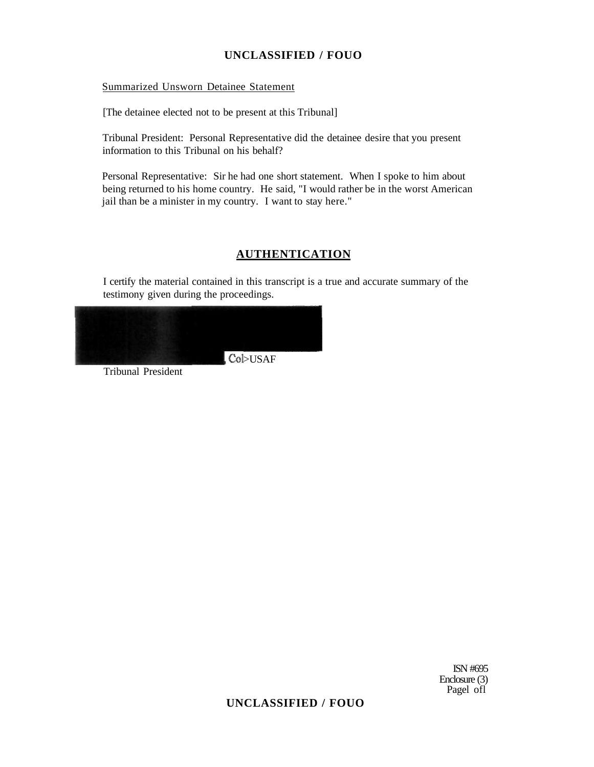### Summarized Unsworn Detainee Statement

[The detainee elected not to be present at this Tribunal]

Tribunal President: Personal Representative did the detainee desire that you present information to this Tribunal on his behalf?

Personal Representative: Sir he had one short statement. When I spoke to him about being returned to his home country. He said, "I would rather be in the worst American jail than be a minister in my country. I want to stay here."

## **AUTHENTICATION**

I certify the material contained in this transcript is a true and accurate summary of the testimony given during the proceedings.



Tribunal President

ISN #695 Enclosure (3) Pagel ofl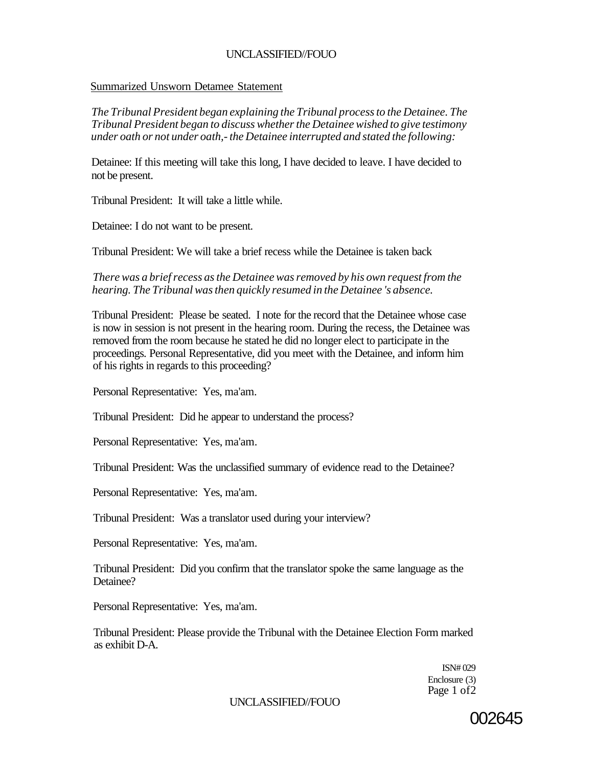### Summarized Unsworn Detamee Statement

*The Tribunal President began explaining the Tribunal process to the Detainee. The Tribunal President began to discuss whether the Detainee wished to give testimony under oath or not under oath,- the Detainee interrupted and stated the following:* 

Detainee: If this meeting will take this long, I have decided to leave. I have decided to not be present.

Tribunal President: It will take a little while.

Detainee: I do not want to be present.

Tribunal President: We will take a brief recess while the Detainee is taken back

*There was a brief recess as the Detainee was removed by his own request from the hearing. The Tribunal was then quickly resumed in the Detainee 's absence.* 

Tribunal President: Please be seated. I note for the record that the Detainee whose case is now in session is not present in the hearing room. During the recess, the Detainee was removed from the room because he stated he did no longer elect to participate in the proceedings. Personal Representative, did you meet with the Detainee, and inform him of his rights in regards to this proceeding?

Personal Representative: Yes, ma'am.

Tribunal President: Did he appear to understand the process?

Personal Representative: Yes, ma'am.

Tribunal President: Was the unclassified summary of evidence read to the Detainee?

Personal Representative: Yes, ma'am.

Tribunal President: Was a translator used during your interview?

Personal Representative: Yes, ma'am.

Tribunal President: Did you confirm that the translator spoke the same language as the Detainee?

Personal Representative: Yes, ma'am.

Tribunal President: Please provide the Tribunal with the Detainee Election Form marked as exhibit D-A.

> ISN# 029 Enclosure (3) Page 1 of2

### UNCLASSIFIED//FOUO